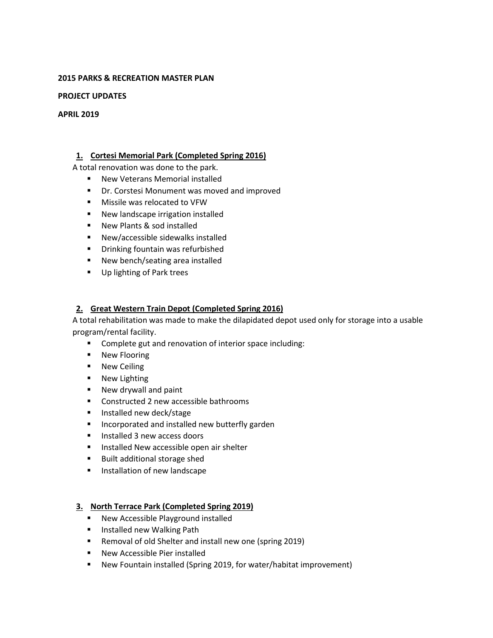#### **2015 PARKS & RECREATION MASTER PLAN**

#### **PROJECT UPDATES**

#### **APRIL 2019**

## **1. Cortesi Memorial Park (Completed Spring 2016)**

A total renovation was done to the park.

- **New Veterans Memorial installed**
- **P** Dr. Corstesi Monument was moved and improved
- **Missile was relocated to VFW**
- New landscape irrigation installed
- **New Plants & sod installed**
- New/accessible sidewalks installed
- **•** Drinking fountain was refurbished
- New bench/seating area installed
- **Up lighting of Park trees**

### **2. Great Western Train Depot (Completed Spring 2016)**

A total rehabilitation was made to make the dilapidated depot used only for storage into a usable program/rental facility.

- **Complete gut and renovation of interior space including:**
- **New Flooring**
- **New Ceiling**
- **New Lighting**
- **New drywall and paint**
- **Constructed 2 new accessible bathrooms**
- **Installed new deck/stage**
- **Incorporated and installed new butterfly garden**
- Installed 3 new access doors
- **Installed New accessible open air shelter**
- **Built additional storage shed**
- **Installation of new landscape**

### **3. North Terrace Park (Completed Spring 2019)**

- **New Accessible Playground installed**
- **Installed new Walking Path**
- Removal of old Shelter and install new one (spring 2019)
- **New Accessible Pier installed**
- New Fountain installed (Spring 2019, for water/habitat improvement)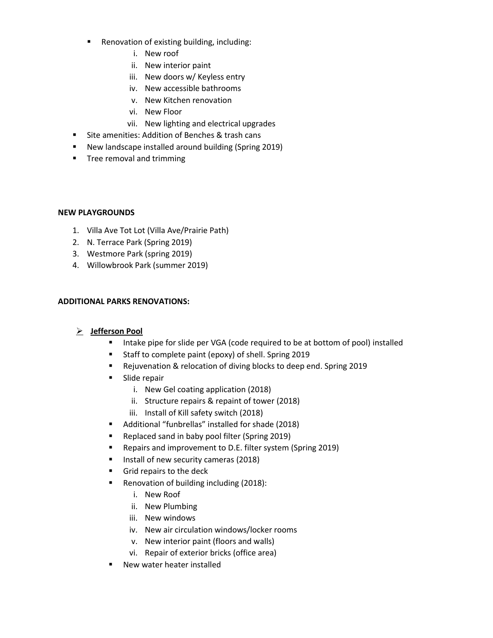- **Renovation of existing building, including:** 
	- i. New roof
	- ii. New interior paint
	- iii. New doors w/ Keyless entry
	- iv. New accessible bathrooms
	- v. New Kitchen renovation
	- vi. New Floor
	- vii. New lighting and electrical upgrades
- **Site amenities: Addition of Benches & trash cans**
- New landscape installed around building (Spring 2019)
- **Tree removal and trimming**

#### **NEW PLAYGROUNDS**

- 1. Villa Ave Tot Lot (Villa Ave/Prairie Path)
- 2. N. Terrace Park (Spring 2019)
- 3. Westmore Park (spring 2019)
- 4. Willowbrook Park (summer 2019)

### **ADDITIONAL PARKS RENOVATIONS:**

### **Jefferson Pool**

- Intake pipe for slide per VGA (code required to be at bottom of pool) installed
- Staff to complete paint (epoxy) of shell. Spring 2019
- Rejuvenation & relocation of diving blocks to deep end. Spring 2019
- **Slide repair** 
	- i. New Gel coating application (2018)
	- ii. Structure repairs & repaint of tower (2018)
	- iii. Install of Kill safety switch (2018)
- Additional "funbrellas" installed for shade (2018)
- Replaced sand in baby pool filter (Spring 2019)
- **Repairs and improvement to D.E. filter system (Spring 2019)**
- Install of new security cameras (2018)
- Grid repairs to the deck
- Renovation of building including (2018):
	- i. New Roof
	- ii. New Plumbing
	- iii. New windows
	- iv. New air circulation windows/locker rooms
	- v. New interior paint (floors and walls)
	- vi. Repair of exterior bricks (office area)
- New water heater installed